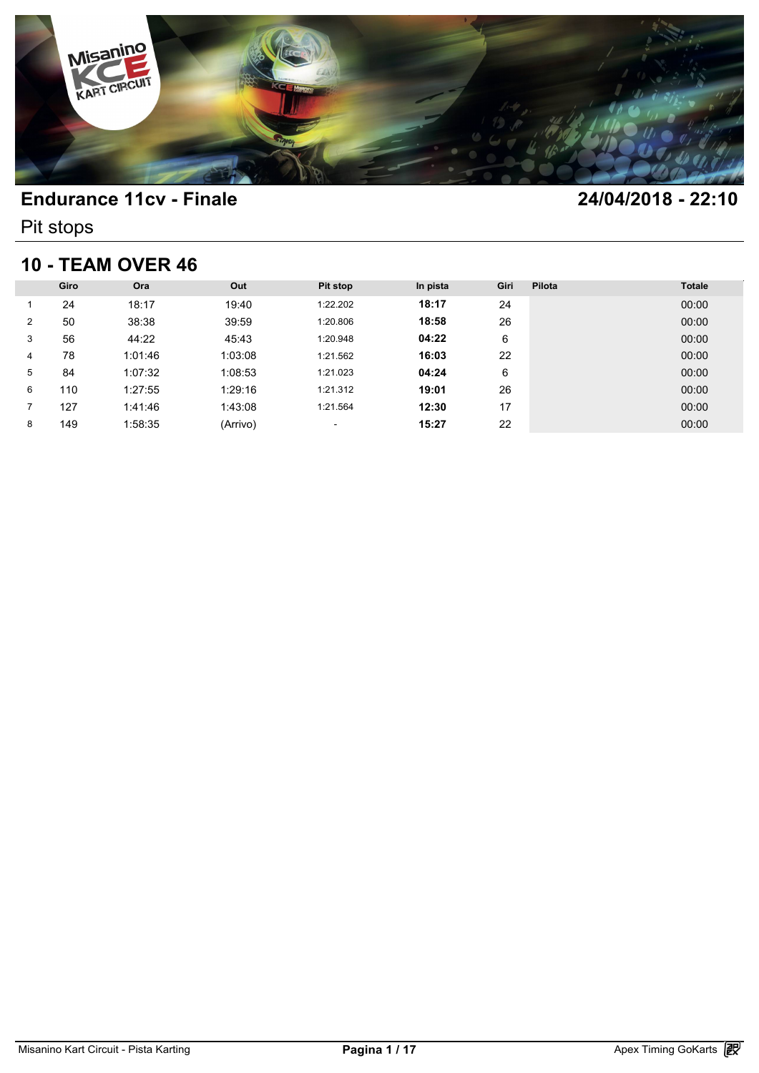

Pit stops

### **10 - TEAM OVER 46**

| <b>10 - TEAM OVER 46</b> |      |         |          |                          |          |      |        |               |  |
|--------------------------|------|---------|----------|--------------------------|----------|------|--------|---------------|--|
|                          | Giro | Ora     | Out      | <b>Pit stop</b>          | In pista | Giri | Pilota | <b>Totale</b> |  |
|                          | 24   | 18:17   | 19:40    | 1:22.202                 | 18:17    | 24   |        | 00:00         |  |
| $\overline{2}$           | 50   | 38:38   | 39:59    | 1:20.806                 | 18:58    | 26   |        | 00:00         |  |
| 3                        | 56   | 44:22   | 45:43    | 1:20.948                 | 04:22    | 6    |        | 00:00         |  |
| 4                        | 78   | 1:01:46 | 1:03:08  | 1:21.562                 | 16:03    | 22   |        | 00:00         |  |
| 5                        | 84   | 1:07:32 | 1:08:53  | 1:21.023                 | 04:24    | 6    |        | 00:00         |  |
| 6                        | 110  | 1:27:55 | 1:29:16  | 1:21.312                 | 19:01    | 26   |        | 00:00         |  |
| 7                        | 127  | 1:41:46 | 1:43:08  | 1:21.564                 | 12:30    | 17   |        | 00:00         |  |
| 8                        | 149  | 1:58:35 | (Arrivo) | $\overline{\phantom{a}}$ | 15:27    | 22   |        | 00:00         |  |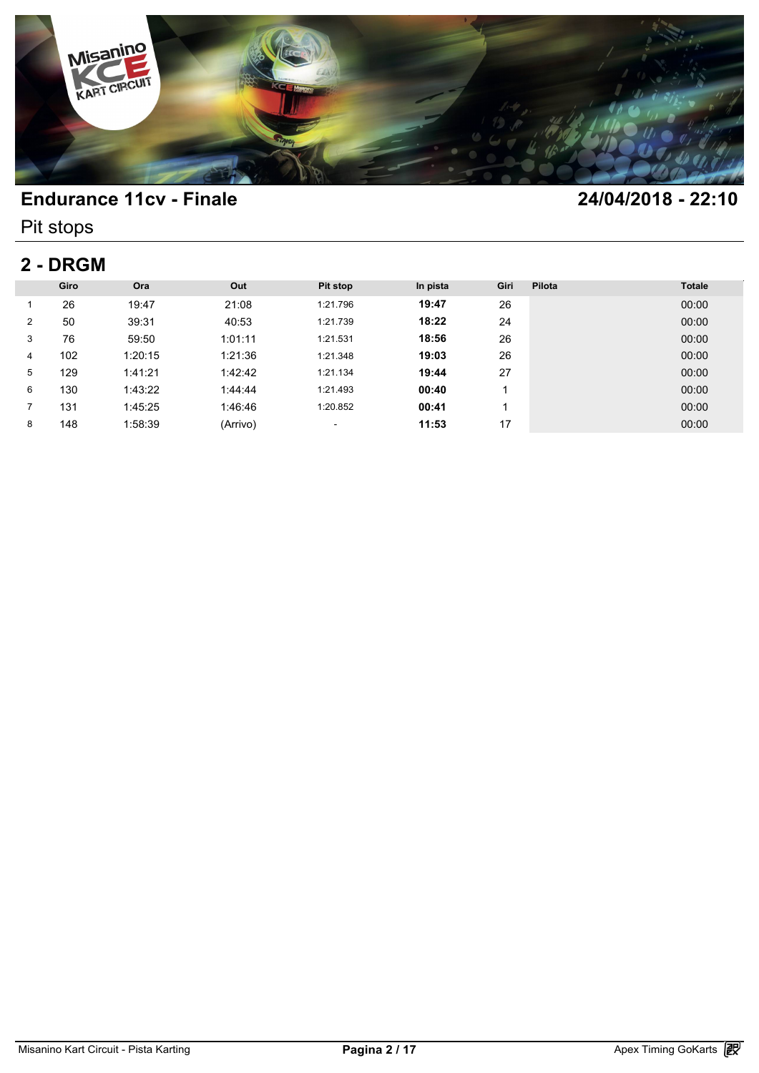

Pit stops

## **2 - DRGM**

| 2 - DRGM       |      |         |          |          |          |      |        |               |  |
|----------------|------|---------|----------|----------|----------|------|--------|---------------|--|
|                | Giro | Ora     | Out      | Pit stop | In pista | Giri | Pilota | <b>Totale</b> |  |
|                | 26   | 19:47   | 21:08    | 1:21.796 | 19:47    | 26   |        | 00:00         |  |
| $\overline{2}$ | 50   | 39:31   | 40:53    | 1:21.739 | 18:22    | 24   |        | 00:00         |  |
| 3              | 76   | 59:50   | 1:01:11  | 1:21.531 | 18:56    | 26   |        | 00:00         |  |
| 4              | 102  | 1:20:15 | 1:21:36  | 1:21.348 | 19:03    | 26   |        | 00:00         |  |
| 5              | 129  | 1:41:21 | 1:42:42  | 1:21.134 | 19:44    | 27   |        | 00:00         |  |
| 6              | 130  | 1:43:22 | 1:44:44  | 1:21.493 | 00:40    |      |        | 00:00         |  |
| $\overline{7}$ | 131  | 1:45:25 | 1:46:46  | 1:20.852 | 00:41    |      |        | 00:00         |  |
| 8              | 148  | 1:58:39 | (Arrivo) | $\sim$   | 11:53    | 17   |        | 00:00         |  |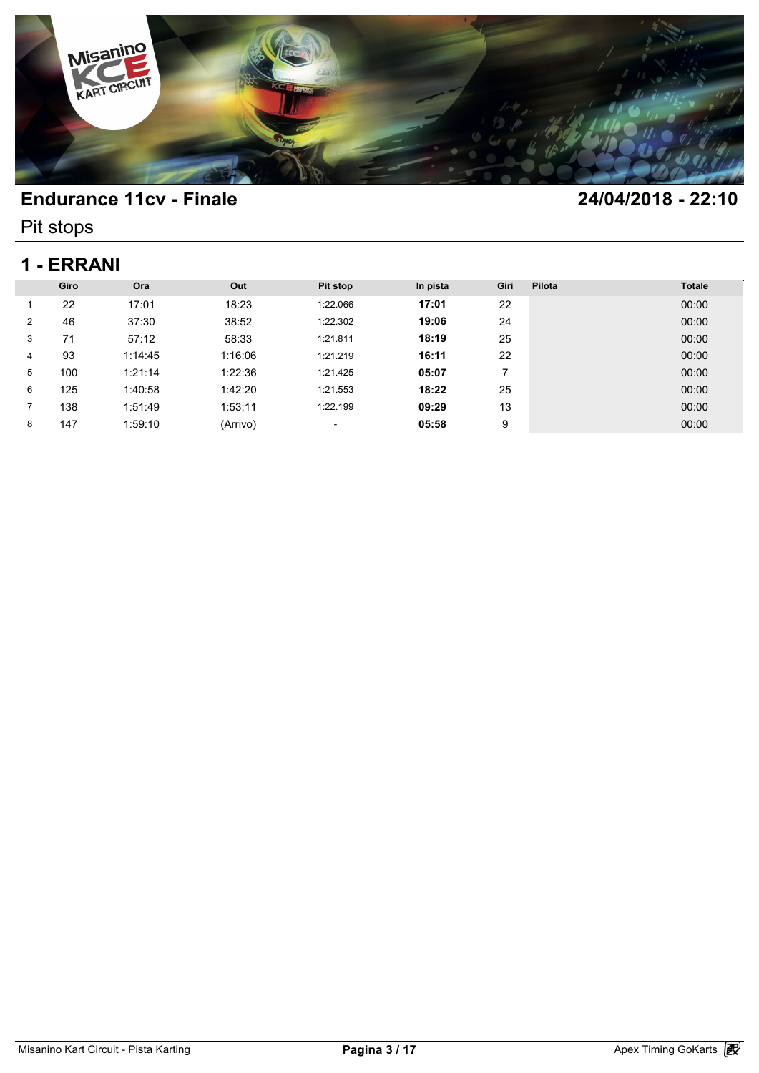

Pit stops

### **1 - ERRANI**

| 1 - ERRANI     |      |         |          |          |          |      |        |               |  |
|----------------|------|---------|----------|----------|----------|------|--------|---------------|--|
|                | Giro | Ora     | Out      | Pit stop | In pista | Giri | Pilota | <b>Totale</b> |  |
|                | 22   | 17:01   | 18:23    | 1:22.066 | 17:01    | 22   |        | 00:00         |  |
| $\overline{2}$ | 46   | 37:30   | 38:52    | 1:22.302 | 19:06    | 24   |        | 00:00         |  |
| 3              | 71   | 57:12   | 58:33    | 1:21.811 | 18:19    | 25   |        | 00:00         |  |
| 4              | 93   | 1:14:45 | 1:16:06  | 1:21.219 | 16:11    | 22   |        | 00:00         |  |
| 5              | 100  | 1:21:14 | 1:22:36  | 1:21.425 | 05:07    | 7    |        | 00:00         |  |
| 6              | 125  | 1:40:58 | 1:42:20  | 1:21.553 | 18:22    | 25   |        | 00:00         |  |
|                | 138  | 1:51:49 | 1:53:11  | 1:22.199 | 09:29    | 13   |        | 00:00         |  |
| 8              | 147  | 1:59:10 | (Arrivo) | ٠        | 05:58    | 9    |        | 00:00         |  |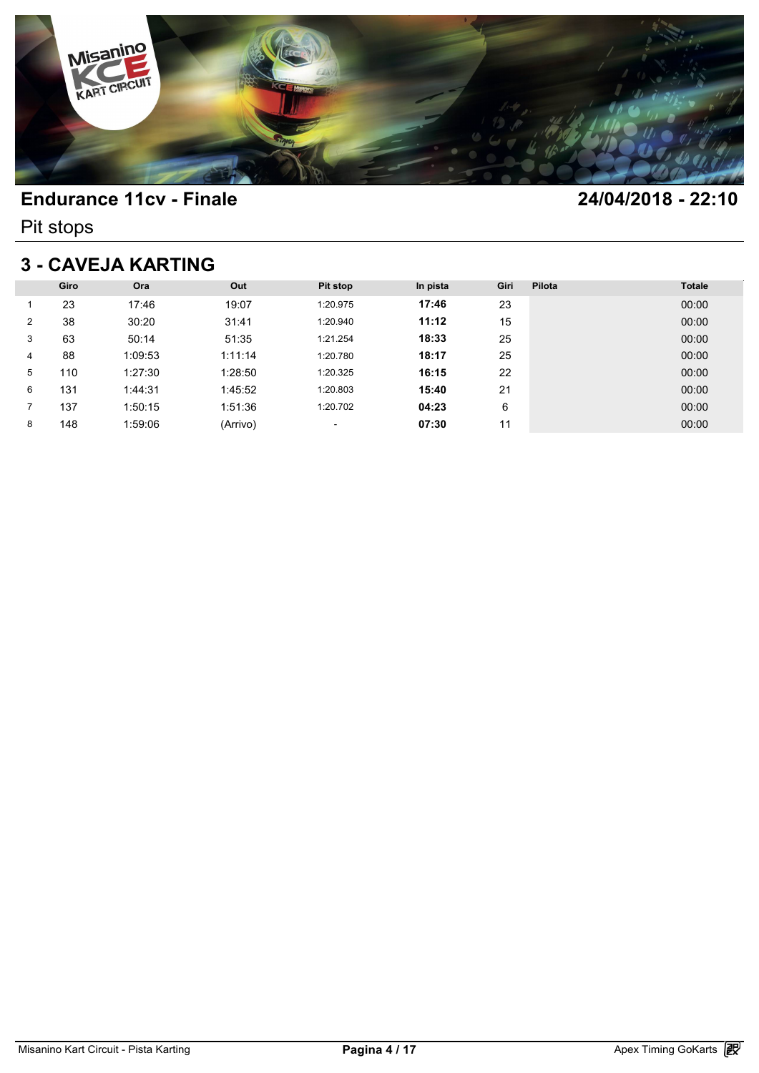

Pit stops

## **3 - CAVEJA KARTING**

| <b>3 - CAVEJA KARTING</b> |      |         |          |          |          |      |        |               |  |  |
|---------------------------|------|---------|----------|----------|----------|------|--------|---------------|--|--|
|                           | Giro | Ora     | Out      | Pit stop | In pista | Giri | Pilota | <b>Totale</b> |  |  |
|                           | 23   | 17:46   | 19:07    | 1:20.975 | 17:46    | 23   |        | 00:00         |  |  |
| $\overline{2}$            | 38   | 30:20   | 31:41    | 1:20.940 | 11:12    | 15   |        | 00:00         |  |  |
| 3                         | 63   | 50:14   | 51:35    | 1:21.254 | 18:33    | 25   |        | 00:00         |  |  |
| 4                         | 88   | 1:09:53 | 1:11:14  | 1:20.780 | 18:17    | 25   |        | 00:00         |  |  |
| 5                         | 110  | 1:27:30 | 1:28:50  | 1:20.325 | 16:15    | 22   |        | 00:00         |  |  |
| 6                         | 131  | 1:44:31 | 1:45:52  | 1:20.803 | 15:40    | 21   |        | 00:00         |  |  |
|                           | 137  | 1:50:15 | 1:51:36  | 1:20.702 | 04:23    | 6    |        | 00:00         |  |  |
| 8                         | 148  | 1:59:06 | (Arrivo) | ٠        | 07:30    | 11   |        | 00:00         |  |  |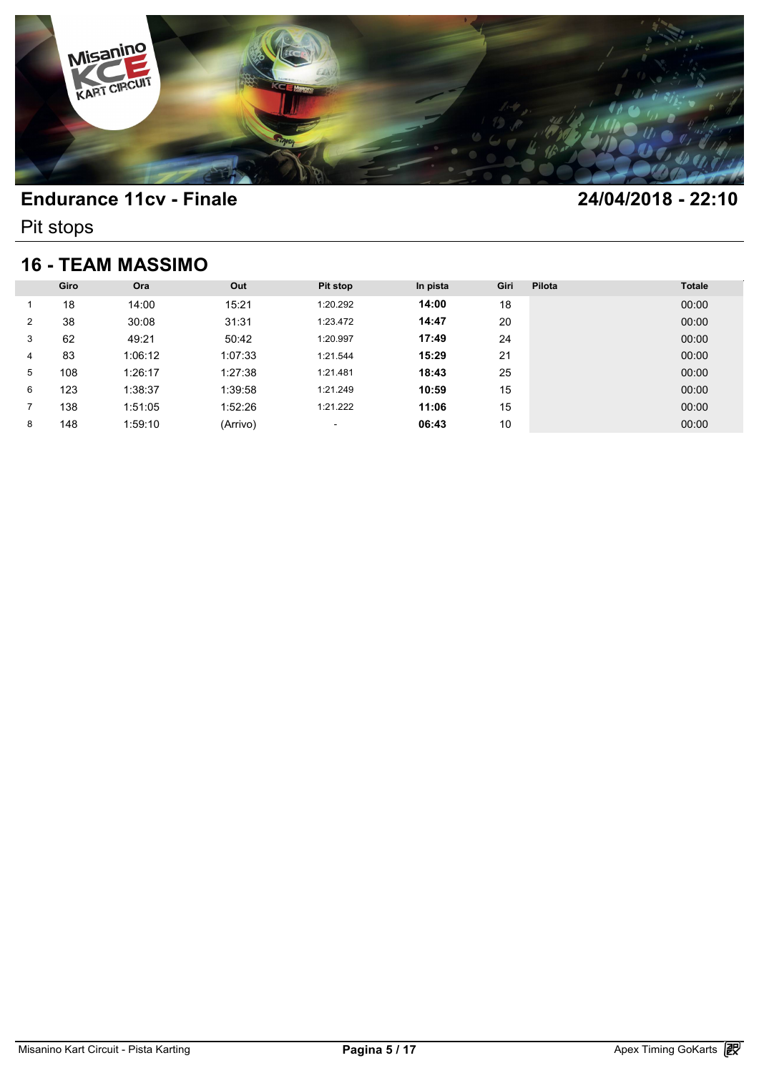

Pit stops

### **16 - TEAM MASSIMO**

| <b>16 - TEAM MASSIMO</b> |      |         |          |                          |          |      |        |               |  |
|--------------------------|------|---------|----------|--------------------------|----------|------|--------|---------------|--|
|                          | Giro | Ora     | Out      | <b>Pit stop</b>          | In pista | Giri | Pilota | <b>Totale</b> |  |
|                          | 18   | 14:00   | 15:21    | 1:20.292                 | 14:00    | 18   |        | 00:00         |  |
| 2                        | 38   | 30:08   | 31:31    | 1:23.472                 | 14:47    | 20   |        | 00:00         |  |
| 3                        | 62   | 49:21   | 50:42    | 1:20.997                 | 17:49    | 24   |        | 00:00         |  |
| 4                        | 83   | 1:06:12 | 1:07:33  | 1:21.544                 | 15:29    | 21   |        | 00:00         |  |
| 5                        | 108  | 1:26:17 | 1:27:38  | 1:21.481                 | 18:43    | 25   |        | 00:00         |  |
| 6                        | 123  | 1:38:37 | 1:39:58  | 1:21.249                 | 10:59    | 15   |        | 00:00         |  |
| 7                        | 138  | 1:51:05 | 1:52:26  | 1:21.222                 | 11:06    | 15   |        | 00:00         |  |
| 8                        | 148  | 1:59:10 | (Arrivo) | $\overline{\phantom{a}}$ | 06:43    | 10   |        | 00:00         |  |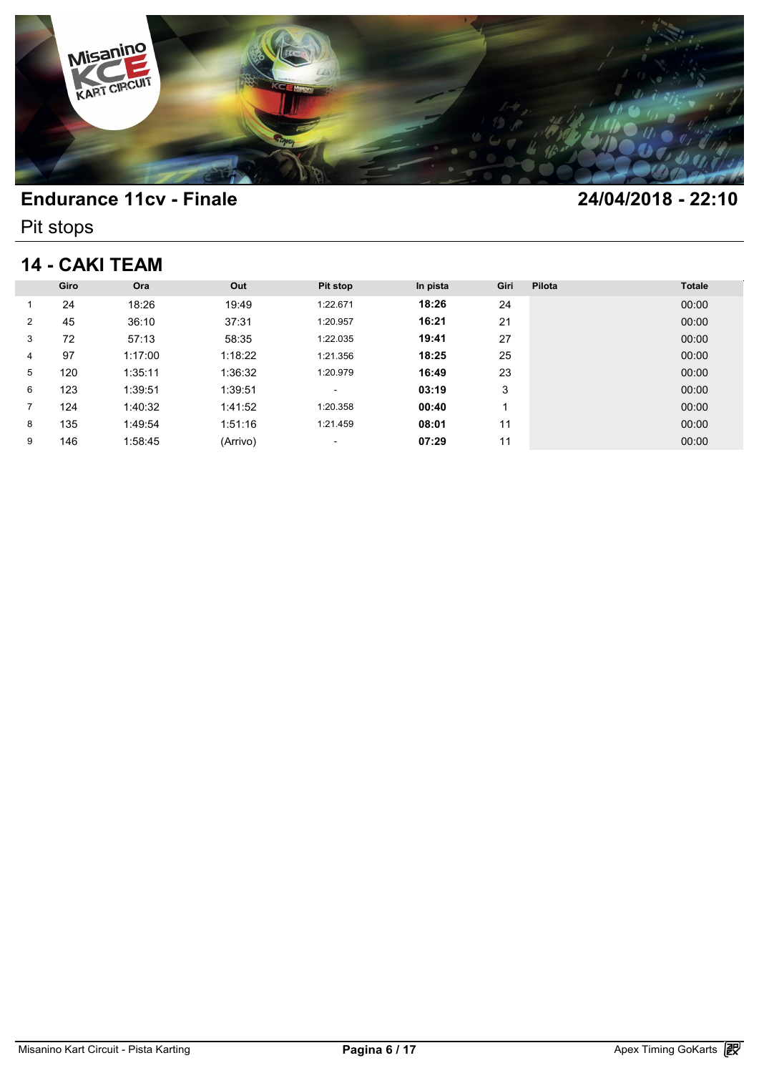

Pit stops

### **14 - CAKI TEAM**

| <b>14 - CAKI TEAM</b> |      |         |          |                          |          |                |        |               |  |  |
|-----------------------|------|---------|----------|--------------------------|----------|----------------|--------|---------------|--|--|
|                       | Giro | Ora     | Out      | Pit stop                 | In pista | Giri           | Pilota | <b>Totale</b> |  |  |
|                       | 24   | 18:26   | 19:49    | 1:22.671                 | 18:26    | 24             |        | 00:00         |  |  |
| $\overline{2}$        | 45   | 36:10   | 37:31    | 1:20.957                 | 16:21    | 21             |        | 00:00         |  |  |
| 3                     | 72   | 57:13   | 58:35    | 1:22.035                 | 19:41    | 27             |        | 00:00         |  |  |
| 4                     | 97   | 1:17:00 | 1:18:22  | 1:21.356                 | 18:25    | 25             |        | 00:00         |  |  |
| 5                     | 120  | 1:35:11 | 1:36:32  | 1:20.979                 | 16:49    | 23             |        | 00:00         |  |  |
| 6                     | 123  | 1:39:51 | 1:39:51  | $\overline{\phantom{a}}$ | 03:19    | 3              |        | 00:00         |  |  |
| 7                     | 124  | 1:40:32 | 1:41:52  | 1:20.358                 | 00:40    | $\overline{ }$ |        | 00:00         |  |  |
| 8                     | 135  | 1:49:54 | 1:51:16  | 1:21.459                 | 08:01    | 11             |        | 00:00         |  |  |
| 9                     | 146  | 1:58:45 | (Arrivo) | ۰.                       | 07:29    | 11             |        | 00:00         |  |  |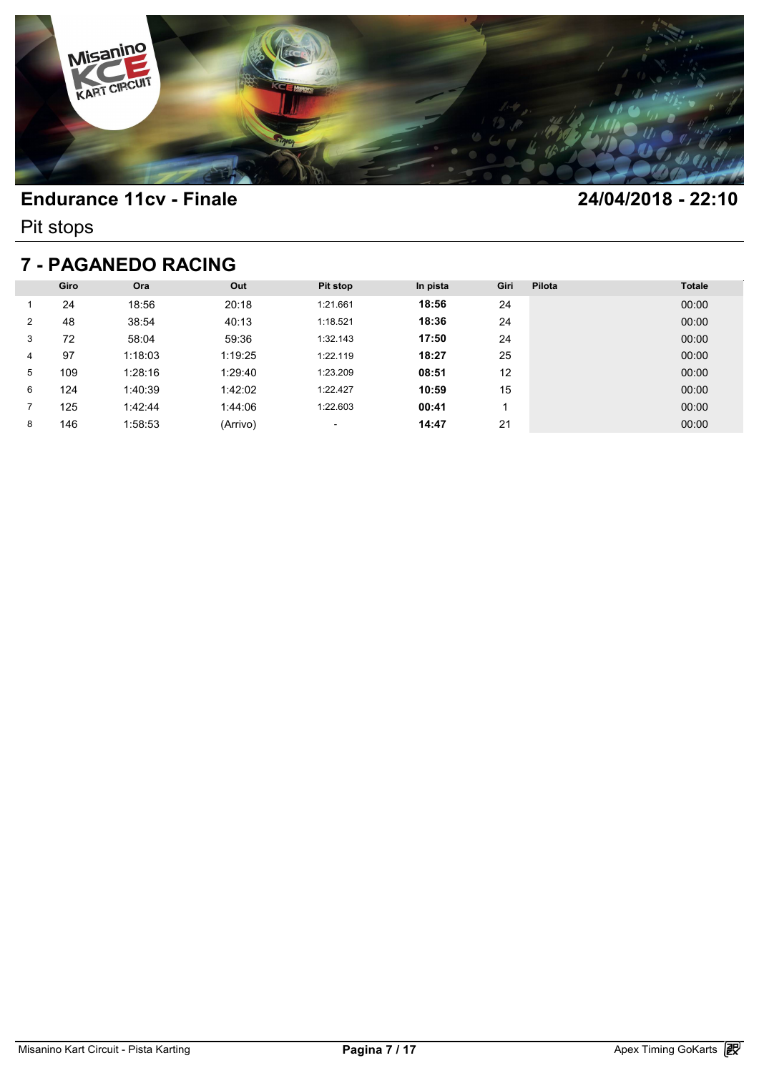

Pit stops

## **7 - PAGANEDO RACING**

| 7 - PAGANEDO RACING |      |         |          |          |          |      |        |               |  |  |
|---------------------|------|---------|----------|----------|----------|------|--------|---------------|--|--|
|                     | Giro | Ora     | Out      | Pit stop | In pista | Giri | Pilota | <b>Totale</b> |  |  |
|                     | 24   | 18:56   | 20:18    | 1:21.661 | 18:56    | 24   |        | 00:00         |  |  |
| $\overline{2}$      | 48   | 38:54   | 40:13    | 1:18.521 | 18:36    | 24   |        | 00:00         |  |  |
| 3                   | 72   | 58:04   | 59:36    | 1:32.143 | 17:50    | 24   |        | 00:00         |  |  |
| 4                   | 97   | 1:18:03 | 1:19:25  | 1:22.119 | 18:27    | 25   |        | 00:00         |  |  |
| 5                   | 109  | 1:28:16 | 1:29:40  | 1:23.209 | 08:51    | 12   |        | 00:00         |  |  |
| 6                   | 124  | 1:40:39 | 1:42:02  | 1:22.427 | 10:59    | 15   |        | 00:00         |  |  |
|                     | 125  | 1:42:44 | 1:44:06  | 1:22.603 | 00:41    |      |        | 00:00         |  |  |
| 8                   | 146  | 1:58:53 | (Arrivo) | ٠        | 14:47    | 21   |        | 00:00         |  |  |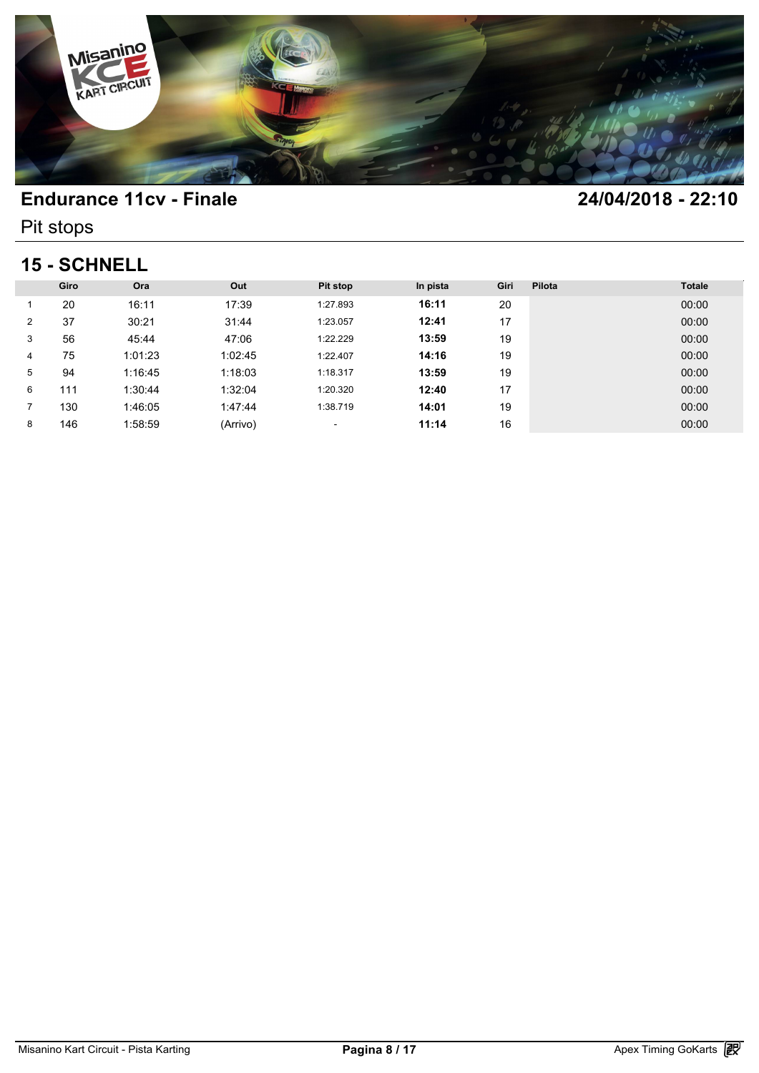

Pit stops

# **15 - SCHNELL**

| <b>15 - SCHNELL</b> |      |         |          |          |          |      |        |               |  |
|---------------------|------|---------|----------|----------|----------|------|--------|---------------|--|
|                     | Giro | Ora     | Out      | Pit stop | In pista | Giri | Pilota | <b>Totale</b> |  |
|                     | 20   | 16:11   | 17:39    | 1:27.893 | 16:11    | 20   |        | 00:00         |  |
| $\overline{2}$      | 37   | 30:21   | 31:44    | 1:23.057 | 12:41    | 17   |        | 00:00         |  |
| 3                   | 56   | 45:44   | 47:06    | 1:22.229 | 13:59    | 19   |        | 00:00         |  |
| 4                   | 75   | 1:01:23 | 1:02:45  | 1:22.407 | 14:16    | 19   |        | 00:00         |  |
| 5                   | 94   | 1:16:45 | 1:18:03  | 1:18.317 | 13:59    | 19   |        | 00:00         |  |
| 6                   | 111  | 1:30:44 | 1:32:04  | 1:20.320 | 12:40    | 17   |        | 00:00         |  |
|                     | 130  | 1:46:05 | 1:47:44  | 1:38.719 | 14:01    | 19   |        | 00:00         |  |
| 8                   | 146  | 1:58:59 | (Arrivo) | ٠        | 11:14    | 16   |        | 00:00         |  |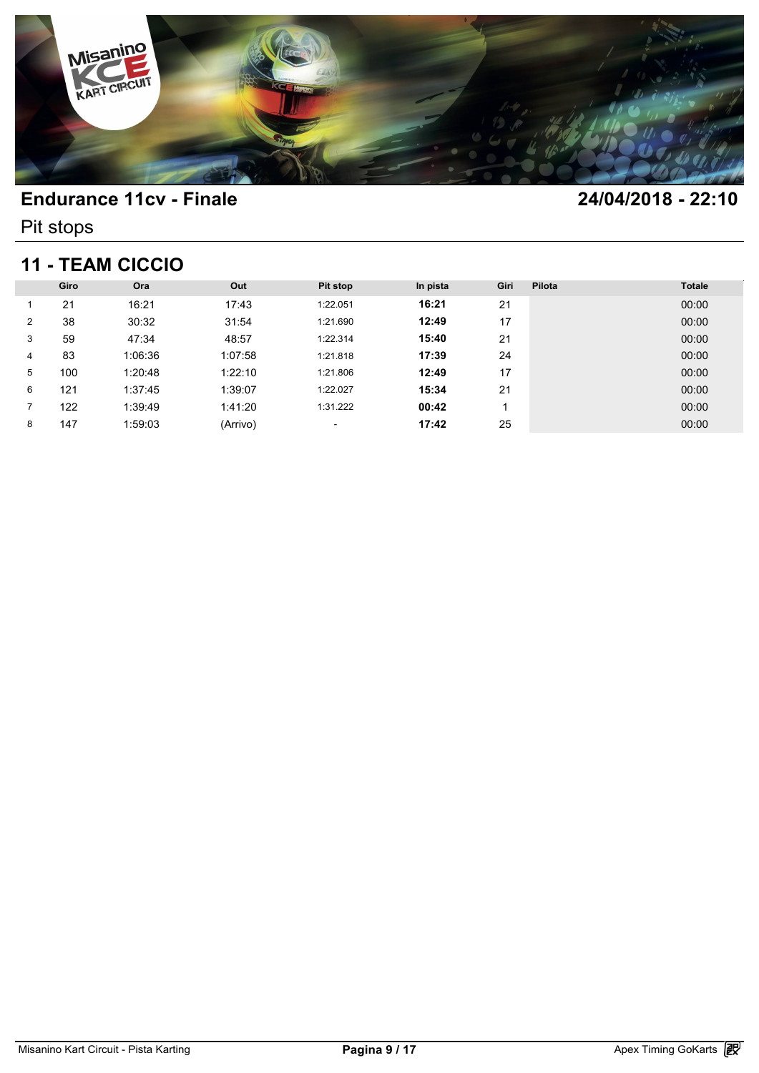

Pit stops

## **11 - TEAM CICCIO**

| <b>11 - TEAM CICCIO</b> |      |         |          |          |          |      |        |               |  |
|-------------------------|------|---------|----------|----------|----------|------|--------|---------------|--|
|                         | Giro | Ora     | Out      | Pit stop | In pista | Giri | Pilota | <b>Totale</b> |  |
|                         | 21   | 16:21   | 17:43    | 1:22.051 | 16:21    | 21   |        | 00:00         |  |
| $\overline{2}$          | 38   | 30:32   | 31:54    | 1:21.690 | 12:49    | 17   |        | 00:00         |  |
| 3                       | 59   | 47:34   | 48:57    | 1:22.314 | 15:40    | 21   |        | 00:00         |  |
| 4                       | 83   | 1:06:36 | 1:07:58  | 1:21.818 | 17:39    | 24   |        | 00:00         |  |
| 5                       | 100  | 1:20:48 | 1:22:10  | 1:21.806 | 12:49    | 17   |        | 00:00         |  |
| 6                       | 121  | 1:37:45 | 1:39:07  | 1:22.027 | 15:34    | 21   |        | 00:00         |  |
|                         | 122  | 1:39:49 | 1:41:20  | 1:31.222 | 00:42    |      |        | 00:00         |  |
| 8                       | 147  | 1:59:03 | (Arrivo) | ٠        | 17:42    | 25   |        | 00:00         |  |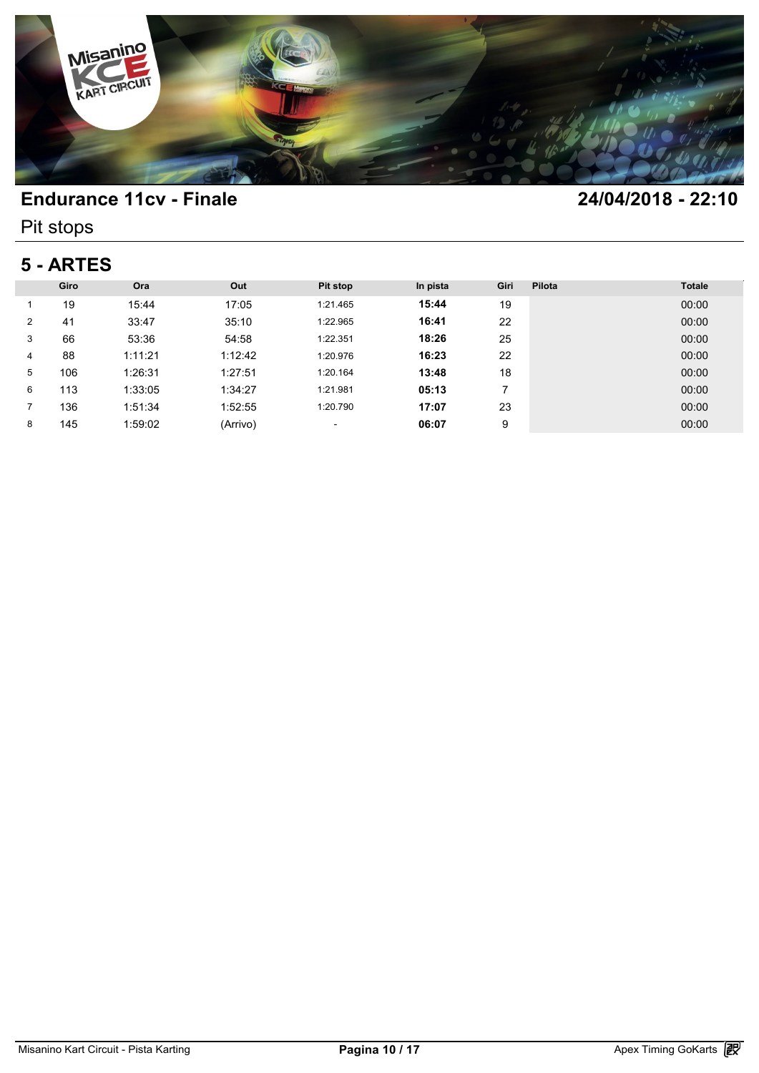

Pit stops

# **5 - ARTES**

| 5 - ARTES      |      |         |          |                 |          |      |        |               |  |
|----------------|------|---------|----------|-----------------|----------|------|--------|---------------|--|
|                | Giro | Ora     | Out      | <b>Pit stop</b> | In pista | Giri | Pilota | <b>Totale</b> |  |
|                | 19   | 15:44   | 17:05    | 1:21.465        | 15:44    | 19   |        | 00:00         |  |
| $\overline{2}$ | 41   | 33:47   | 35:10    | 1:22.965        | 16:41    | 22   |        | 00:00         |  |
| 3              | 66   | 53:36   | 54:58    | 1:22.351        | 18:26    | 25   |        | 00:00         |  |
| 4              | 88   | 1:11:21 | 1:12:42  | 1:20.976        | 16:23    | 22   |        | 00:00         |  |
| 5              | 106  | 1:26:31 | 1:27:51  | 1:20.164        | 13:48    | 18   |        | 00:00         |  |
| 6              | 113  | 1:33:05 | 1:34:27  | 1:21.981        | 05:13    | 7    |        | 00:00         |  |
|                | 136  | 1:51:34 | 1:52:55  | 1:20.790        | 17:07    | 23   |        | 00:00         |  |
| 8              | 145  | 1:59:02 | (Arrivo) | ٠               | 06:07    | 9    |        | 00:00         |  |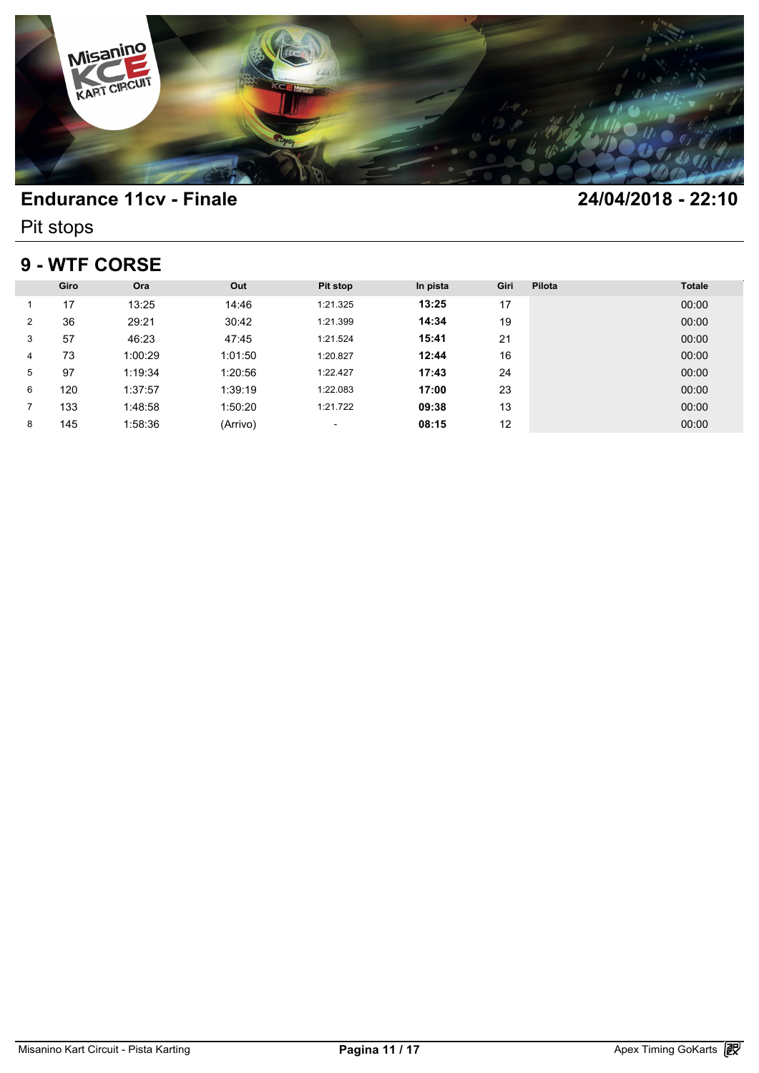

Pit stops

### **9 - WTF CORSE**

| 9 - WTF CORSE  |      |         |          |          |          |      |        |               |  |
|----------------|------|---------|----------|----------|----------|------|--------|---------------|--|
|                | Giro | Ora     | Out      | Pit stop | In pista | Giri | Pilota | <b>Totale</b> |  |
|                | 17   | 13:25   | 14:46    | 1:21.325 | 13:25    | 17   |        | 00:00         |  |
| $\overline{2}$ | 36   | 29:21   | 30:42    | 1:21.399 | 14:34    | 19   |        | 00:00         |  |
| 3              | 57   | 46:23   | 47:45    | 1:21.524 | 15:41    | 21   |        | 00:00         |  |
| 4              | 73   | 1:00:29 | 1:01:50  | 1:20.827 | 12:44    | 16   |        | 00:00         |  |
| 5              | 97   | 1:19:34 | 1:20:56  | 1:22.427 | 17:43    | 24   |        | 00:00         |  |
| 6              | 120  | 1:37:57 | 1:39:19  | 1:22.083 | 17:00    | 23   |        | 00:00         |  |
|                | 133  | 1:48:58 | 1:50:20  | 1:21.722 | 09:38    | 13   |        | 00:00         |  |
| 8              | 145  | 1:58:36 | (Arrivo) | ٠        | 08:15    | 12   |        | 00:00         |  |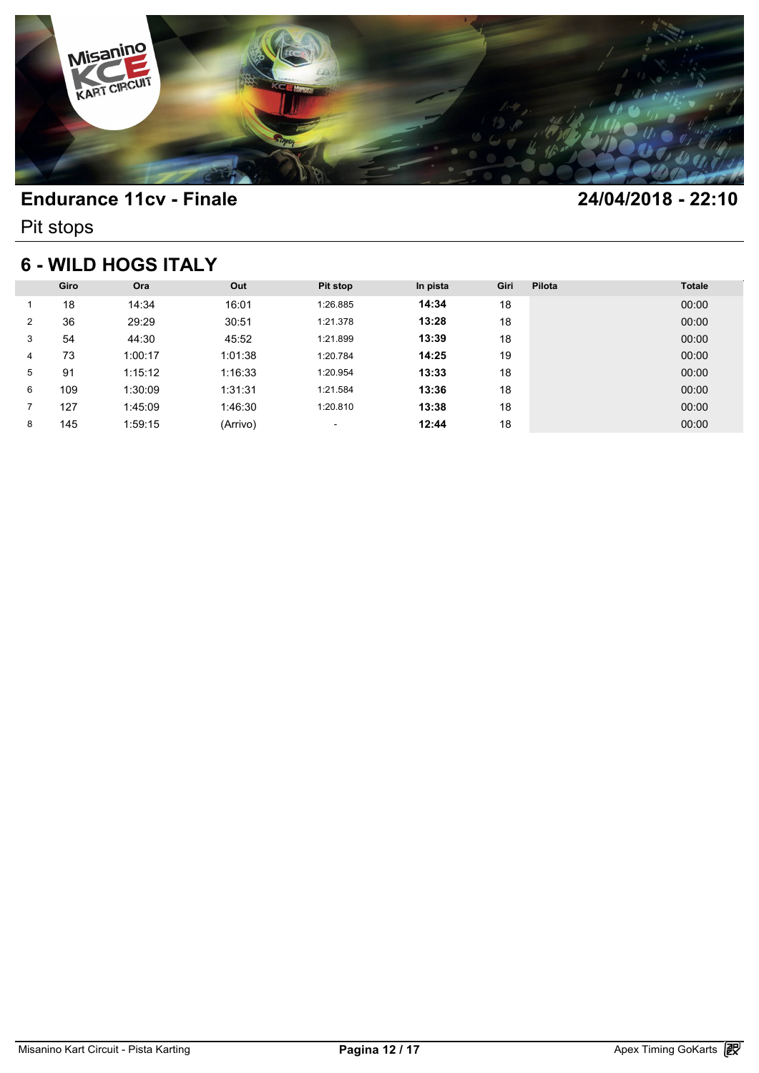

Pit stops

## **6 - WILD HOGS ITALY**

| 6 - WILD HOGS ITALY |      |         |          |                          |          |      |        |               |  |
|---------------------|------|---------|----------|--------------------------|----------|------|--------|---------------|--|
|                     | Giro | Ora     | Out      | <b>Pit stop</b>          | In pista | Giri | Pilota | <b>Totale</b> |  |
|                     | 18   | 14:34   | 16:01    | 1:26.885                 | 14:34    | 18   |        | 00:00         |  |
| 2                   | 36   | 29:29   | 30:51    | 1:21.378                 | 13:28    | 18   |        | 00:00         |  |
| 3                   | 54   | 44:30   | 45:52    | 1:21.899                 | 13:39    | 18   |        | 00:00         |  |
| 4                   | 73   | 1:00:17 | 1:01:38  | 1:20.784                 | 14:25    | 19   |        | 00:00         |  |
| 5                   | 91   | 1:15:12 | 1:16:33  | 1:20.954                 | 13:33    | 18   |        | 00:00         |  |
| 6                   | 109  | 1:30:09 | 1:31:31  | 1:21.584                 | 13:36    | 18   |        | 00:00         |  |
|                     | 127  | 1:45:09 | 1:46:30  | 1:20.810                 | 13:38    | 18   |        | 00:00         |  |
| 8                   | 145  | 1:59:15 | (Arrivo) | $\overline{\phantom{a}}$ | 12:44    | 18   |        | 00:00         |  |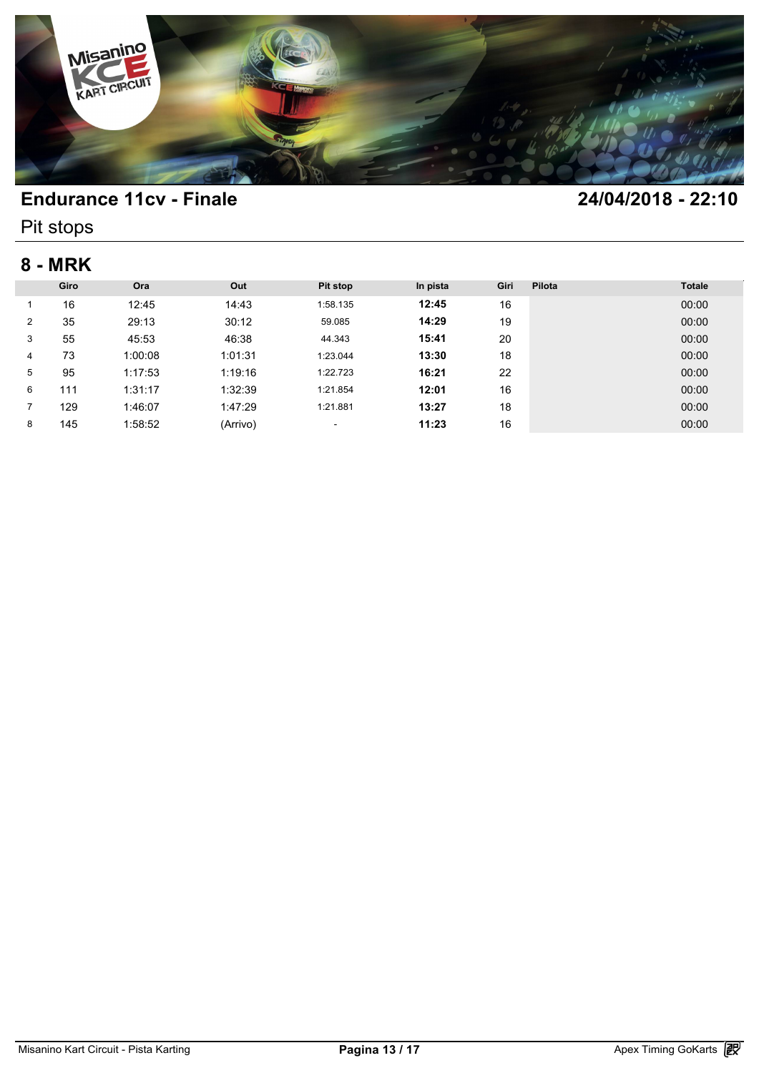

Pit stops

### **8 - MRK**

| <b>8 - MRK</b> |      |         |          |          |          |      |        |               |
|----------------|------|---------|----------|----------|----------|------|--------|---------------|
|                | Giro | Ora     | Out      | Pit stop | In pista | Giri | Pilota | <b>Totale</b> |
|                | 16   | 12:45   | 14:43    | 1:58.135 | 12:45    | 16   |        | 00:00         |
| 2              | 35   | 29:13   | 30:12    | 59.085   | 14:29    | 19   |        | 00:00         |
| 3              | 55   | 45:53   | 46:38    | 44.343   | 15:41    | 20   |        | 00:00         |
| 4              | 73   | 1:00:08 | 1:01:31  | 1:23.044 | 13:30    | 18   |        | 00:00         |
| 5              | 95   | 1:17:53 | 1:19:16  | 1:22.723 | 16:21    | 22   |        | 00:00         |
| 6              | 111  | 1:31:17 | 1:32:39  | 1:21.854 | 12:01    | 16   |        | 00:00         |
|                | 129  | 1:46:07 | 1:47:29  | 1:21.881 | 13:27    | 18   |        | 00:00         |
| 8              | 145  | 1:58:52 | (Arrivo) | ٠        | 11:23    | 16   |        | 00:00         |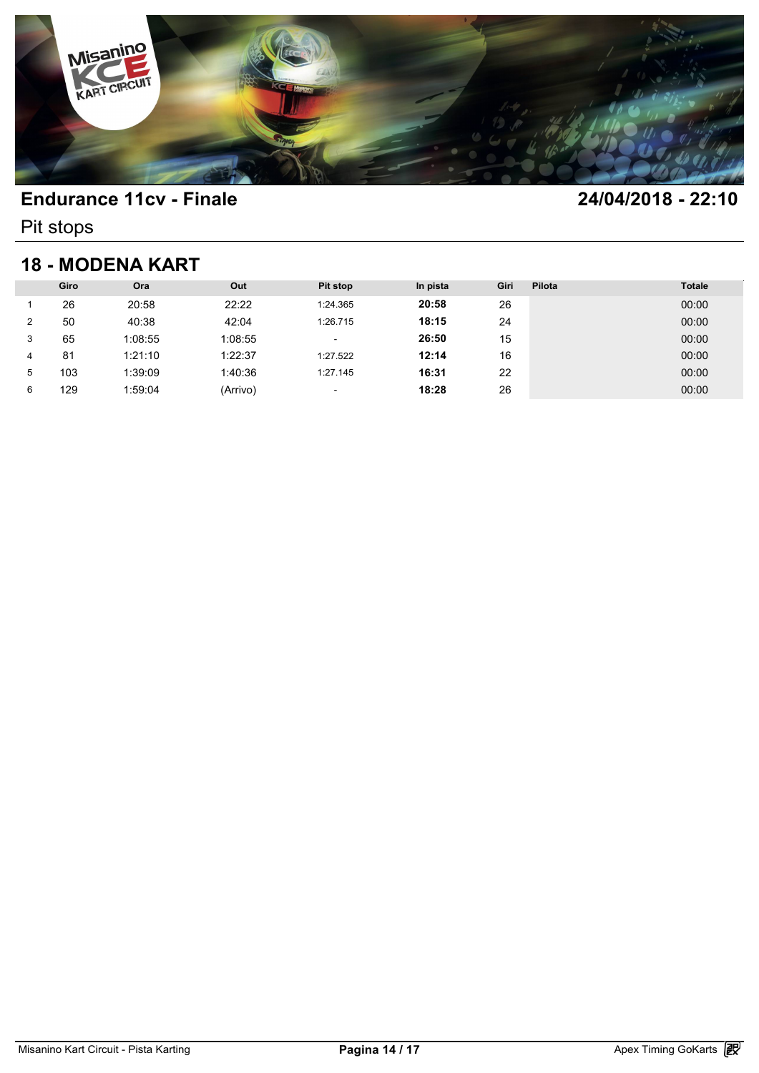

Pit stops

### **18 - MODENA KART**

|                | <b>18 - MODENA KART</b> |         |          |          |          |      |        |               |  |  |
|----------------|-------------------------|---------|----------|----------|----------|------|--------|---------------|--|--|
|                | Giro                    | Ora     | Out      | Pit stop | In pista | Giri | Pilota | <b>Totale</b> |  |  |
|                | 26                      | 20:58   | 22:22    | 1:24.365 | 20:58    | 26   |        | 00:00         |  |  |
| $\overline{2}$ | 50                      | 40:38   | 42:04    | 1:26.715 | 18:15    | 24   |        | 00:00         |  |  |
| 3              | 65                      | 1:08:55 | 1:08:55  | $\sim$   | 26:50    | 15   |        | 00:00         |  |  |
| 4              | 81                      | 1:21:10 | 1:22:37  | 1:27.522 | 12:14    | 16   |        | 00:00         |  |  |
| 5              | 103                     | 1:39:09 | 1:40:36  | 1:27.145 | 16:31    | 22   |        | 00:00         |  |  |
| 6              | 129                     | 1:59:04 | (Arrivo) | ٠        | 18:28    | 26   |        | 00:00         |  |  |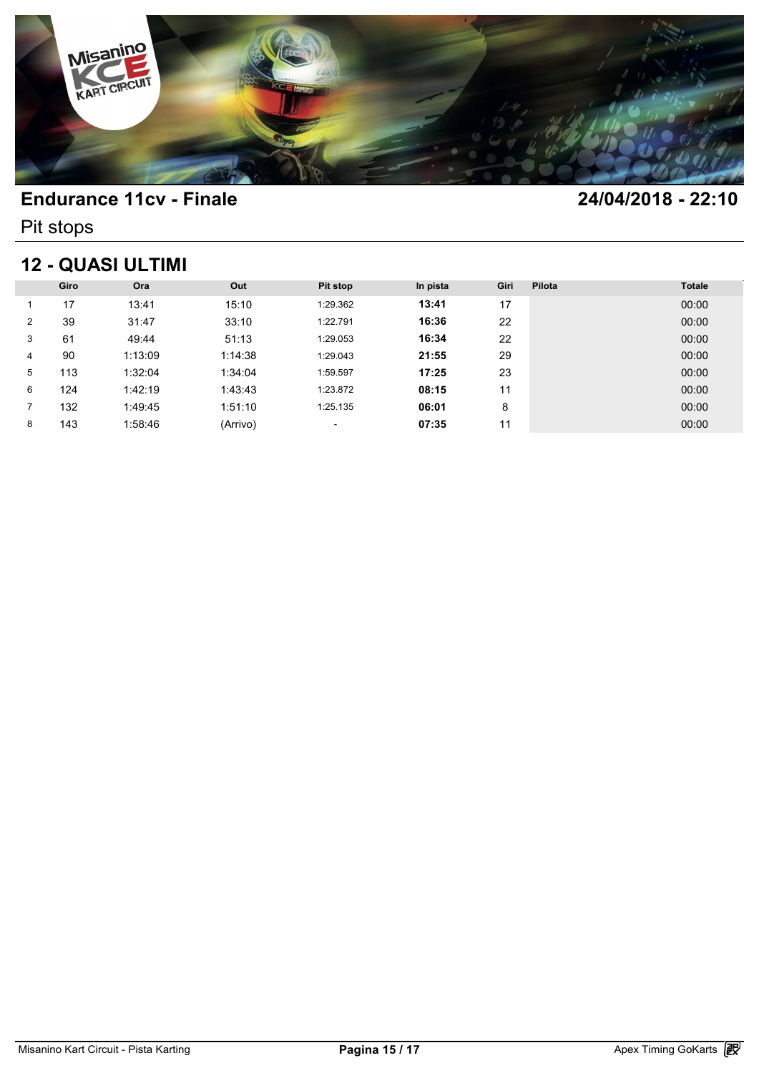

Pit stops

# **12 - QUASI ULTIMI**

| <b>12 - QUASI ULTIMI</b> |      |         |          |                          |          |      |        |               |
|--------------------------|------|---------|----------|--------------------------|----------|------|--------|---------------|
|                          | Giro | Ora     | Out      | <b>Pit stop</b>          | In pista | Giri | Pilota | <b>Totale</b> |
|                          | 17   | 13:41   | 15:10    | 1:29.362                 | 13:41    | 17   |        | 00:00         |
| 2                        | 39   | 31:47   | 33:10    | 1:22.791                 | 16:36    | 22   |        | 00:00         |
| 3                        | 61   | 49:44   | 51:13    | 1:29.053                 | 16:34    | 22   |        | 00:00         |
| 4                        | 90   | 1:13:09 | 1:14:38  | 1:29.043                 | 21:55    | 29   |        | 00:00         |
| 5                        | 113  | 1:32:04 | 1:34:04  | 1:59.597                 | 17:25    | 23   |        | 00:00         |
| 6                        | 124  | 1:42:19 | 1:43:43  | 1:23.872                 | 08:15    | 11   |        | 00:00         |
| 7                        | 132  | 1:49:45 | 1:51:10  | 1:25.135                 | 06:01    | 8    |        | 00:00         |
| 8                        | 143  | 1:58:46 | (Arrivo) | $\overline{\phantom{a}}$ | 07:35    | 11   |        | 00:00         |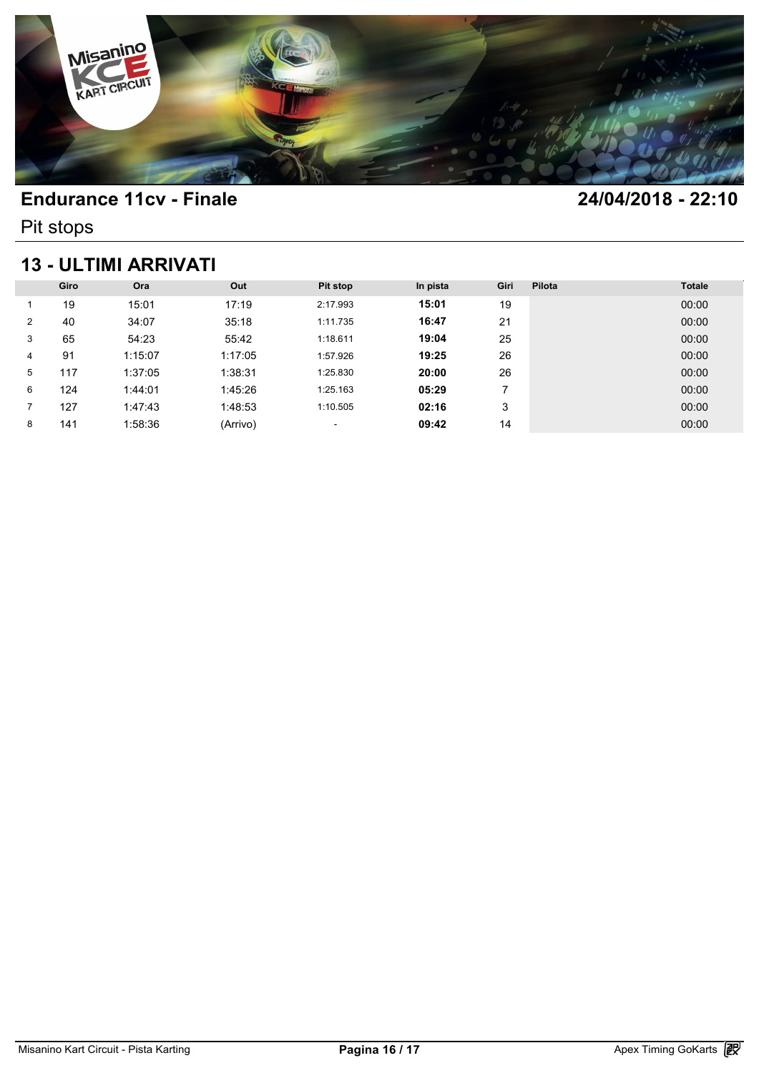

Pit stops

### **13 - ULTIMI ARRIVATI**

| <b>13 - ULTIMI ARRIVATI</b> |      |         |          |                          |          |      |        |               |  |
|-----------------------------|------|---------|----------|--------------------------|----------|------|--------|---------------|--|
|                             | Giro | Ora     | Out      | Pit stop                 | In pista | Giri | Pilota | <b>Totale</b> |  |
|                             | 19   | 15:01   | 17:19    | 2:17.993                 | 15:01    | 19   |        | 00:00         |  |
| 2                           | 40   | 34:07   | 35:18    | 1:11.735                 | 16:47    | 21   |        | 00:00         |  |
| 3                           | 65   | 54:23   | 55:42    | 1:18.611                 | 19:04    | 25   |        | 00:00         |  |
| 4                           | 91   | 1:15:07 | 1:17:05  | 1:57.926                 | 19:25    | 26   |        | 00:00         |  |
| 5                           | 117  | 1:37:05 | 1:38:31  | 1:25.830                 | 20:00    | 26   |        | 00:00         |  |
| 6                           | 124  | 1:44:01 | 1:45:26  | 1:25.163                 | 05:29    | 7    |        | 00:00         |  |
|                             | 127  | 1:47:43 | 1:48:53  | 1:10.505                 | 02:16    | 3    |        | 00:00         |  |
| 8                           | 141  | 1:58:36 | (Arrivo) | $\overline{\phantom{a}}$ | 09:42    | 14   |        | 00:00         |  |